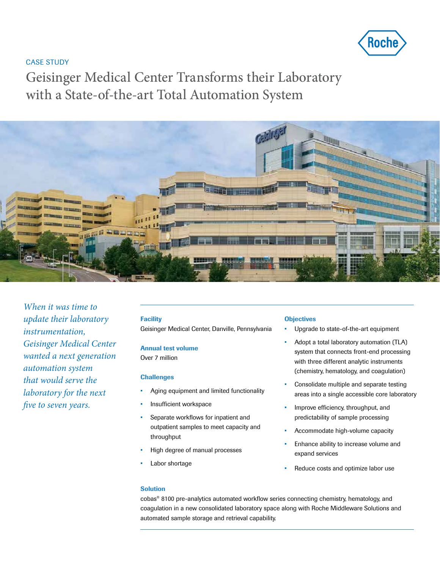

### CASE STUDY

Geisinger Medical Center Transforms their Laboratory with a State-of-the-art Total Automation System



*When it was time to update their laboratory instrumentation, Geisinger Medical Center wanted a next generation automation system that would serve the laboratory for the next five to seven years.* 

### **Facility**

Geisinger Medical Center, Danville, Pennsylvania

### Annual test volume

Over 7 million

#### **Challenges**

- Aging equipment and limited functionality
- Insufficient workspace
- Separate workflows for inpatient and outpatient samples to meet capacity and throughput
- High degree of manual processes
- Labor shortage

### **Objectives**

- Upgrade to state-of-the-art equipment
- Adopt a total laboratory automation (TLA) system that connects front-end processing with three different analytic instruments (chemistry, hematology, and coagulation)
- Consolidate multiple and separate testing areas into a single accessible core laboratory
- Improve efficiency, throughput, and predictability of sample processing
- Accommodate high-volume capacity
- Enhance ability to increase volume and expand services
- Reduce costs and optimize labor use

### Solution

cobas® 8100 pre-analytics automated workflow series connecting chemistry, hematology, and coagulation in a new consolidated laboratory space along with Roche Middleware Solutions and automated sample storage and retrieval capability.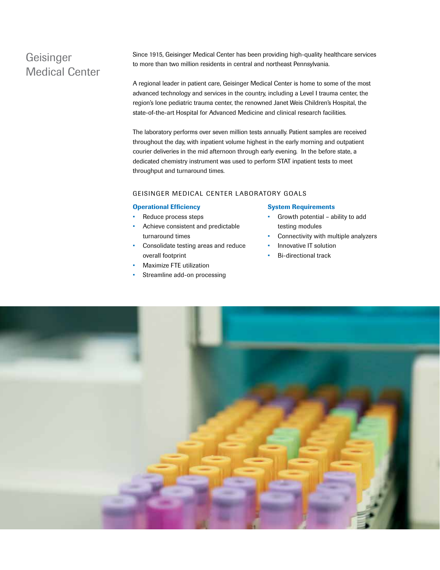# Geisinger Medical Center

Since 1915, Geisinger Medical Center has been providing high-quality healthcare services to more than two million residents in central and northeast Pennsylvania.

A regional leader in patient care, Geisinger Medical Center is home to some of the most advanced technology and services in the country, including a Level I trauma center, the region's lone pediatric trauma center, the renowned Janet Weis Children's Hospital, the state-of-the-art Hospital for Advanced Medicine and clinical research facilities.

The laboratory performs over seven million tests annually. Patient samples are received throughout the day, with inpatient volume highest in the early morning and outpatient courier deliveries in the mid afternoon through early evening. In the before state, a dedicated chemistry instrument was used to perform STAT inpatient tests to meet throughput and turnaround times.

### GEISINGER MEDICAL CENTER LABORATORY GOALS

#### Operational Efficiency

- Reduce process steps
- Achieve consistent and predictable turnaround times
- Consolidate testing areas and reduce overall footprint
- Maximize FTE utilization
- Streamline add-on processing

#### System Requirements

- Growth potential ability to add testing modules
- Connectivity with multiple analyzers
- Innovative IT solution
- Bi-directional track

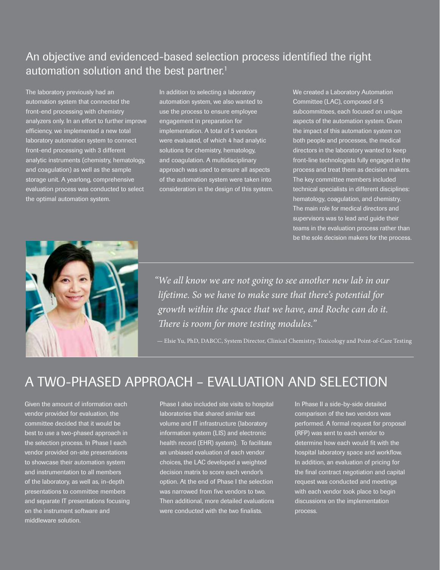# An objective and evidenced-based selection process identified the right automation solution and the best partner.<sup>1</sup>

The laboratory previously had an automation system that connected the front-end processing with chemistry analyzers only. In an effort to further improve efficiency, we implemented a new total laboratory automation system to connect front-end processing with 3 different analytic instruments (chemistry, hematology, and coagulation) as well as the sample storage unit. A yearlong, comprehensive evaluation process was conducted to select the optimal automation system.

In addition to selecting a laboratory automation system, we also wanted to use the process to ensure employee engagement in preparation for implementation. A total of 5 vendors were evaluated, of which 4 had analytic solutions for chemistry, hematology, and coagulation. A multidisciplinary approach was used to ensure all aspects of the automation system were taken into consideration in the design of this system.

We created a Laboratory Automation Committee (LAC), composed of 5 subcommittees, each focused on unique aspects of the automation system. Given the impact of this automation system on both people and processes, the medical directors in the laboratory wanted to keep front-line technologists fully engaged in the process and treat them as decision makers. The key committee members included technical specialists in different disciplines: hematology, coagulation, and chemistry. The main role for medical directors and supervisors was to lead and guide their teams in the evaluation process rather than be the sole decision makers for the process.



*"We all know we are not going to see another new lab in our lifetime. So we have to make sure that there's potential for growth within the space that we have, and Roche can do it. There is room for more testing modules."* 

— Elsie Yu, PhD, DABCC, System Director, Clinical Chemistry, Toxicology and Point-of-Care Testing

# A TWO-PHASED APPROACH – EVALUATION AND SELECTION

Given the amount of information each vendor provided for evaluation, the committee decided that it would be best to use a two-phased approach in the selection process. In Phase I each vendor provided on-site presentations to showcase their automation system and instrumentation to all members of the laboratory, as well as, in-depth presentations to committee members and separate IT presentations focusing on the instrument software and middleware solution.

Phase I also included site visits to hospital laboratories that shared similar test volume and IT infrastructure (laboratory information system (LIS) and electronic health record (EHR) system). To facilitate an unbiased evaluation of each vendor choices, the LAC developed a weighted decision matrix to score each vendor's option. At the end of Phase I the selection was narrowed from five vendors to two. Then additional, more detailed evaluations were conducted with the two finalists.

In Phase II a side-by-side detailed comparison of the two vendors was performed. A formal request for proposal (RFP) was sent to each vendor to determine how each would fit with the hospital laboratory space and workflow. In addition, an evaluation of pricing for the final contract negotiation and capital request was conducted and meetings with each vendor took place to begin discussions on the implementation process.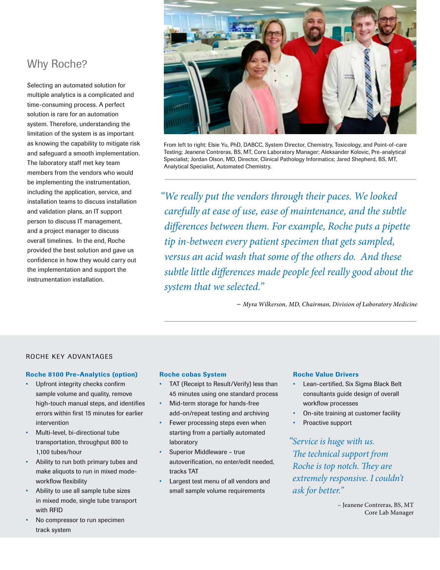# Why Roche?

Selecting an automated solution for multiple analytics is a complicated and time-consuming process. A perfect solution is rare for an automation system. Therefore, understanding the limitation of the system is as important as knowing the capability to mitigate risk and safeguard a smooth implementation. The laboratory staff met key team members from the vendors who would be implementing the instrumentation, including the application, service, and installation teams to discuss installation and validation plans, an IT support person to discuss IT management, and a project manager to discuss overall timelines. In the end, Roche provided the best solution and gave us confidence in how they would carry out the implementation and support the instrumentation installation.



From left to right: Elsie Yu, PhD, DABCC, System Director, Chemistry, Toxicology, and Point-of-care Testing; Jeanene Contreras, BS, MT, Core Laboratory Manager; Aleksander Kolovic, Pre-analytical Specialist; Jordan Olson, MD, Director, Clinical Pathology Informatics; Jared Shepherd, BS, MT, Analytical Specialist, Automated Chemistry.

*"We really put the vendors through their paces. We looked carefully at ease of use, ease of maintenance, and the subtle differences between them. For example, Roche puts a pipette tip in-between every patient specimen that gets sampled, versus an acid wash that some of the others do. And these subtle little differences made people feel really good about the system that we selected."*

– *Myra Wilkerson, MD, Chairman, Division of Laboratory Medicine* 

### ROCHE KEY ADVANTAGES

### Roche 8100 Pre-Analytics (option)

- Upfront integrity checks confirm sample volume and quality, remove high-touch manual steps, and identifies errors within first 15 minutes for earlier intervention
- Multi-level, bi-directional tube transportation, throughput 800 to 1,100 tubes/hour
- Ability to run both primary tubes and make aliquots to run in mixed modeworkflow flexibility
- Ability to use all sample tube sizes in mixed mode, single tube transport with RFID
- No compressor to run specimen track system

#### Roche cobas System

- TAT (Receipt to Result/Verify) less than 45 minutes using one standard process
- Mid-term storage for hands-free add-on/repeat testing and archiving
- Fewer processing steps even when starting from a partially automated laboratory
- Superior Middleware true autoverification, no enter/edit needed, tracks TAT
- Largest test menu of all vendors and small sample volume requirements

#### Roche Value Drivers

- Lean-certified, Six Sigma Black Belt consultants guide design of overall workflow processes
- On-site training at customer facility
- Proactive support

*"Service is huge with us. The technical support from Roche is top notch. They are extremely responsive. I couldn't ask for better."*

> – Jeanene Contreras, BS, MT Core Lab Manager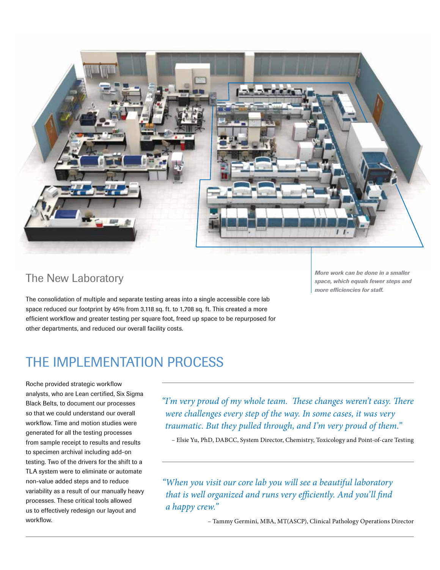

## The New Laboratory

The consolidation of multiple and separate testing areas into a single accessible core lab space reduced our footprint by 45% from 3,118 sq. ft. to 1,708 sq. ft. This created a more efficient workflow and greater testing per square foot, freed up space to be repurposed for other departments, and reduced our overall facility costs.

*More work can be done in a smaller space, which equals fewer steps and more efficiencies for staff.*

# THE IMPI EMENTATION PROCESS

Roche provided strategic workflow analysts, who are Lean certified, Six Sigma Black Belts, to document our processes so that we could understand our overall workflow. Time and motion studies were generated for all the testing processes from sample receipt to results and results to specimen archival including add-on testing. Two of the drivers for the shift to a TLA system were to eliminate or automate non-value added steps and to reduce variability as a result of our manually heavy processes. These critical tools allowed us to effectively redesign our layout and workflow.

*"I'm very proud of my whole team. These changes weren't easy. There were challenges every step of the way. In some cases, it was very traumatic. But they pulled through, and I'm very proud of them."* 

– Elsie Yu, PhD, DABCC, System Director, Chemistry, Toxicology and Point-of-care Testing

*"When you visit our core lab you will see a beautiful laboratory that is well organized and runs very efficiently. And you'll find a happy crew."* 

– Tammy Germini, MBA, MT(ASCP), Clinical Pathology Operations Director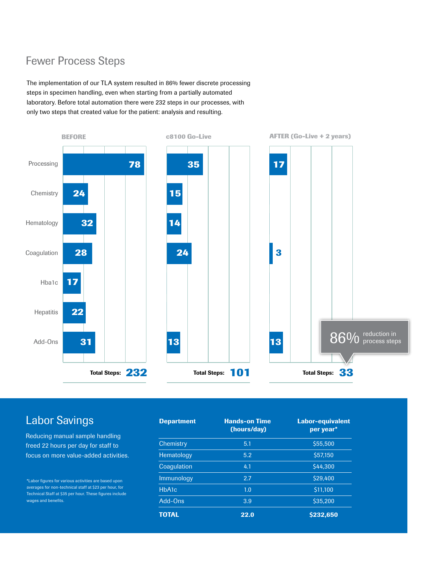# Fewer Process Steps

The implementation of our TLA system resulted in 86% fewer discrete processing steps in specimen handling, even when starting from a partially automated laboratory. Before total automation there were 232 steps in our processes, with only two steps that created value for the patient: analysis and resulting.



# Labor Savings

Reducing manual sample handling freed 22 hours per day for staff to focus on more value-added activities.

\*Labor figures for various activities are based upon averages for non-technical staff at \$23 per hour, for Technical Staff at \$35 per hour. These figures include wages and benefits.

| <b>Department</b> | <b>Hands-on Time</b><br>(hours/day) | <b>Labor-equivalent</b><br>per year* |
|-------------------|-------------------------------------|--------------------------------------|
| Chemistry         | 5.1                                 | \$55,500                             |
| Hematology        | 5.2                                 | \$57,150                             |
| Coagulation       | 4.1                                 | \$44.300                             |
| Immunology        | 2.7                                 | \$29.400                             |
| HbA1c             | 1.0                                 | \$11,100                             |
| Add-Ons           | 3.9                                 | \$35,200                             |
| TOTAL             | 22.0                                | \$232,650                            |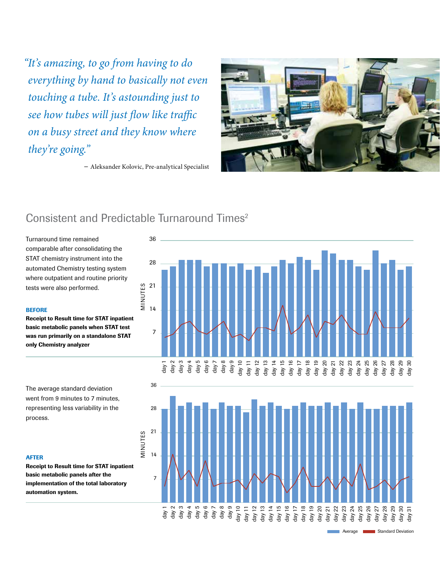*"It's amazing, to go from having to do everything by hand to basically not even touching a tube. It's astounding just to see how tubes will just flow like traffic on a busy street and they know where they're going."*

– Aleksander Kolovic, Pre-analytical Specialist



## Consistent and Predictable Turnaround Times<sup>2</sup>

Turnaround time remained comparable after consolidating the STAT chemistry instrument into the automated Chemistry testing system where outpatient and routine priority tests were also performed.

#### BEFORE

 basic metabolic panels when STAT test Receipt to Result time for STAT inpatient was run primarily on a standalone STAT only Chemistry analyzer

The average standard deviation went from 9 minutes to 7 minutes, representing less variability in the process.

#### AFTER

Receipt to Result time for STAT inpatient basic metabolic panels after the implementation of the total laboratory automation system.





Average **National Standard Deviation**